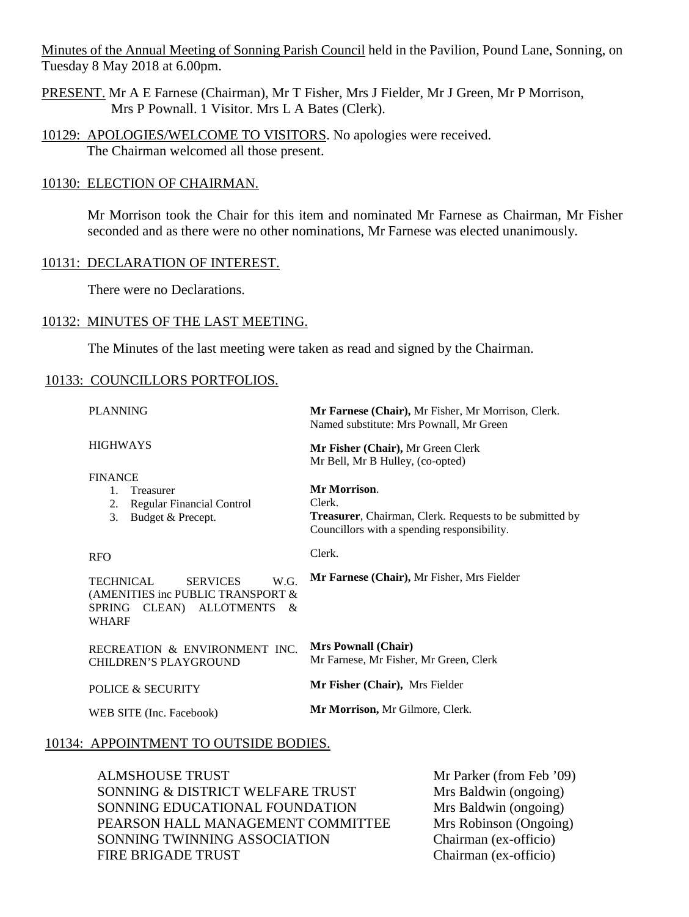Minutes of the Annual Meeting of Sonning Parish Council held in the Pavilion, Pound Lane, Sonning, on Tuesday 8 May 2018 at 6.00pm.

- PRESENT. Mr A E Farnese (Chairman), Mr T Fisher, Mrs J Fielder, Mr J Green, Mr P Morrison, Mrs P Pownall. 1 Visitor. Mrs L A Bates (Clerk).
- 10129: APOLOGIES/WELCOME TO VISITORS. No apologies were received. The Chairman welcomed all those present.

#### 10130: ELECTION OF CHAIRMAN.

Mr Morrison took the Chair for this item and nominated Mr Farnese as Chairman, Mr Fisher seconded and as there were no other nominations, Mr Farnese was elected unanimously.

#### 10131: DECLARATION OF INTEREST.

There were no Declarations.

#### 10132: MINUTES OF THE LAST MEETING.

The Minutes of the last meeting were taken as read and signed by the Chairman.

#### 10133: COUNCILLORS PORTFOLIOS.

| <b>PLANNING</b>                                                                                                                   | Mr Farnese (Chair), Mr Fisher, Mr Morrison, Clerk.<br>Named substitute: Mrs Pownall, Mr Green                                    |  |  |  |
|-----------------------------------------------------------------------------------------------------------------------------------|----------------------------------------------------------------------------------------------------------------------------------|--|--|--|
| <b>HIGHWAYS</b>                                                                                                                   | Mr Fisher (Chair), Mr Green Clerk<br>Mr Bell, Mr B Hulley, (co-opted)                                                            |  |  |  |
| <b>FINANCE</b><br>Treasurer<br>$1_{\cdots}$<br><b>Regular Financial Control</b><br>2.<br>3.<br>Budget & Precept.                  | Mr Morrison.<br>Clerk.<br>Treasurer, Chairman, Clerk. Requests to be submitted by<br>Councillors with a spending responsibility. |  |  |  |
| <b>RFO</b>                                                                                                                        | Clerk.                                                                                                                           |  |  |  |
| <b>SERVICES</b><br>W.G.<br><b>TECHNICAL</b><br>(AMENITIES inc PUBLIC TRANSPORT &<br>CLEAN) ALLOTMENTS &<br>SPRING<br><b>WHARF</b> | Mr Farnese (Chair), Mr Fisher, Mrs Fielder                                                                                       |  |  |  |
| RECREATION & ENVIRONMENT INC.<br><b>CHILDREN'S PLAYGROUND</b>                                                                     | <b>Mrs Pownall (Chair)</b><br>Mr Farnese, Mr Fisher, Mr Green, Clerk                                                             |  |  |  |
| POLICE & SECURITY                                                                                                                 | Mr Fisher (Chair), Mrs Fielder                                                                                                   |  |  |  |
| WEB SITE (Inc. Facebook)                                                                                                          | Mr Morrison, Mr Gilmore, Clerk.                                                                                                  |  |  |  |

#### 10134: APPOINTMENT TO OUTSIDE BODIES.

ALMSHOUSE TRUST SONNING & DISTRICT WELFARE TRUST SONNING EDUCATIONAL FOUNDATION PEARSON HALL MANAGEMENT COMMITTEE SONNING TWINNING ASSOCIATION FIRE BRIGADE TRUST

Mr Parker (from Feb '09) Mrs Baldwin (ongoing) Mrs Baldwin (ongoing) Mrs Robinson (Ongoing) Chairman (ex-officio) Chairman (ex-officio)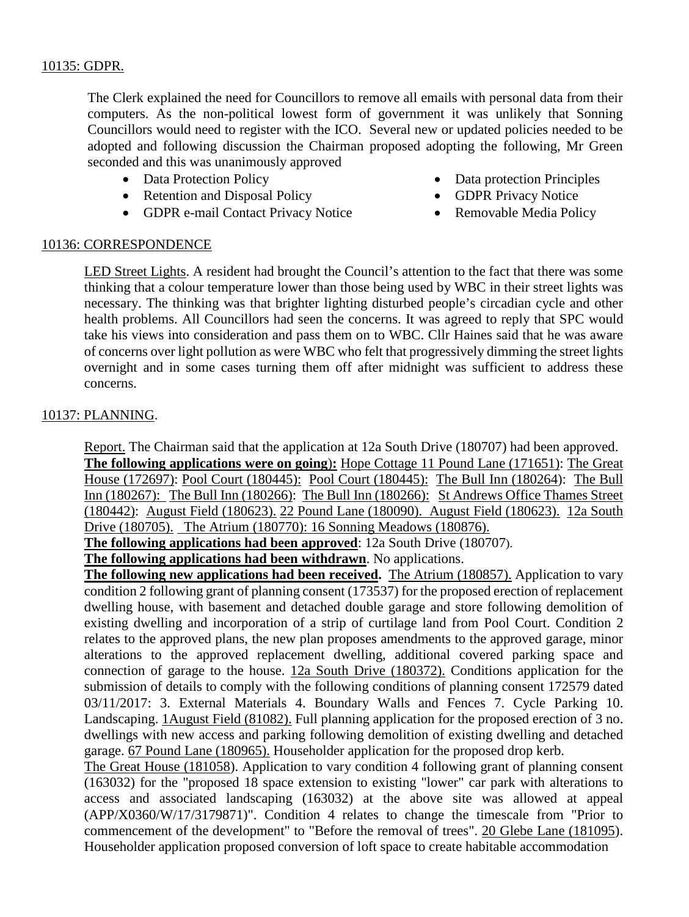## 10135: GDPR.

The Clerk explained the need for Councillors to remove all emails with personal data from their computers. As the non-political lowest form of government it was unlikely that Sonning Councillors would need to register with the ICO. Several new or updated policies needed to be adopted and following discussion the Chairman proposed adopting the following, Mr Green seconded and this was unanimously approved

- Data Protection Policy
- Retention and Disposal Policy
- GDPR e-mail Contact Privacy Notice
- Data protection Principles
- GDPR Privacy Notice
- Removable Media Policy

### 10136: CORRESPONDENCE

LED Street Lights. A resident had brought the Council's attention to the fact that there was some thinking that a colour temperature lower than those being used by WBC in their street lights was necessary. The thinking was that brighter lighting disturbed people's circadian cycle and other health problems. All Councillors had seen the concerns. It was agreed to reply that SPC would take his views into consideration and pass them on to WBC. Cllr Haines said that he was aware of concerns over light pollution as were WBC who felt that progressively dimming the street lights overnight and in some cases turning them off after midnight was sufficient to address these concerns.

## 10137: PLANNING.

Report. The Chairman said that the application at 12a South Drive (180707) had been approved. **The following applications were on going**)**:** Hope Cottage 11 Pound Lane (171651): The Great House (172697): Pool Court (180445): Pool Court (180445): The Bull Inn (180264): The Bull Inn (180267): The Bull Inn (180266): The Bull Inn (180266): St Andrews Office Thames Street (180442): August Field (180623). 22 Pound Lane (180090). August Field (180623). 12a South Drive (180705). The Atrium (180770): 16 Sonning Meadows (180876).

**The following applications had been approved**: 12a South Drive (180707).

**The following applications had been withdrawn**. No applications.

**The following new applications had been received.** The Atrium (180857). Application to vary condition 2 following grant of planning consent (173537) for the proposed erection of replacement dwelling house, with basement and detached double garage and store following demolition of existing dwelling and incorporation of a strip of curtilage land from Pool Court. Condition 2 relates to the approved plans, the new plan proposes amendments to the approved garage, minor alterations to the approved replacement dwelling, additional covered parking space and connection of garage to the house. 12a South Drive (180372). Conditions application for the submission of details to comply with the following conditions of planning consent 172579 dated 03/11/2017: 3. External Materials 4. Boundary Walls and Fences 7. Cycle Parking 10. Landscaping. 1August Field (81082). Full planning application for the proposed erection of 3 no. dwellings with new access and parking following demolition of existing dwelling and detached garage. 67 Pound Lane (180965). Householder application for the proposed drop kerb.

The Great House (181058). Application to vary condition 4 following grant of planning consent (163032) for the "proposed 18 space extension to existing "lower" car park with alterations to access and associated landscaping (163032) at the above site was allowed at appeal (APP/X0360/W/17/3179871)". Condition 4 relates to change the timescale from "Prior to commencement of the development" to "Before the removal of trees". 20 Glebe Lane (181095). Householder application proposed conversion of loft space to create habitable accommodation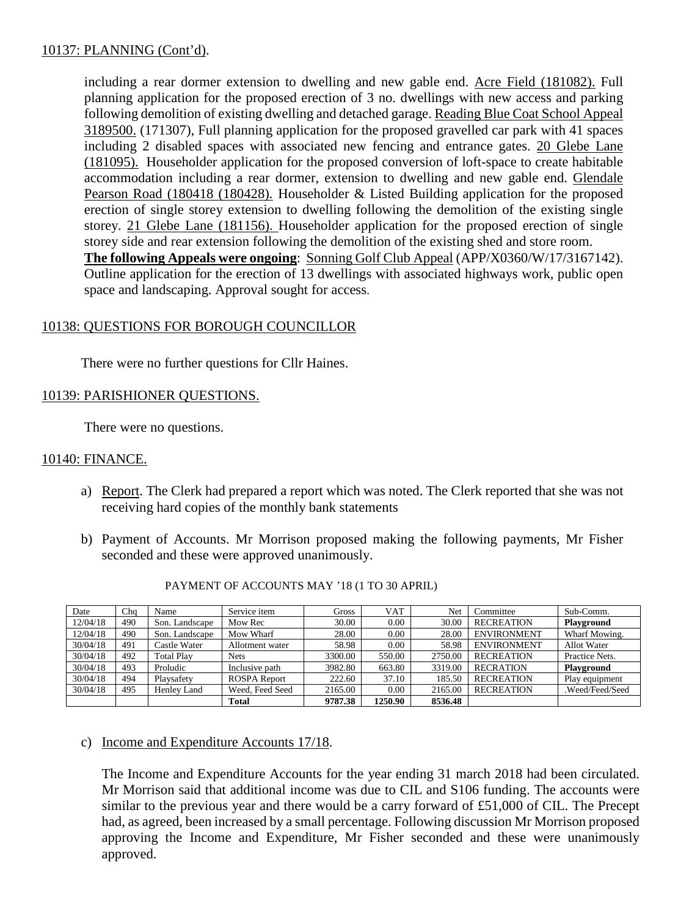# 10137: PLANNING (Cont'd).

including a rear dormer extension to dwelling and new gable end. Acre Field (181082). Full planning application for the proposed erection of 3 no. dwellings with new access and parking following demolition of existing dwelling and detached garage. Reading Blue Coat School Appeal 3189500. (171307), Full planning application for the proposed gravelled car park with 41 spaces including 2 disabled spaces with associated new fencing and entrance gates. 20 Glebe Lane (181095). Householder application for the proposed conversion of loft-space to create habitable accommodation including a rear dormer, extension to dwelling and new gable end. Glendale Pearson Road (180418 (180428). Householder & Listed Building application for the proposed erection of single storey extension to dwelling following the demolition of the existing single storey. 21 Glebe Lane (181156). Householder application for the proposed erection of single storey side and rear extension following the demolition of the existing shed and store room. **The following Appeals were ongoing**: Sonning Golf Club Appeal (APP/X0360/W/17/3167142). Outline application for the erection of 13 dwellings with associated highways work, public open

# 10138: QUESTIONS FOR BOROUGH COUNCILLOR

There were no further questions for Cllr Haines.

space and landscaping. Approval sought for access.

## 10139: PARISHIONER QUESTIONS.

There were no questions.

### 10140: FINANCE.

- a) Report. The Clerk had prepared a report which was noted. The Clerk reported that she was not receiving hard copies of the monthly bank statements
- b) Payment of Accounts. Mr Morrison proposed making the following payments, Mr Fisher seconded and these were approved unanimously.

| Date     | Chq | Name              | Service item        | Gross   | <b>VAT</b> | Net     | Committee          | Sub-Comm.          |
|----------|-----|-------------------|---------------------|---------|------------|---------|--------------------|--------------------|
| 12/04/18 | 490 | Son. Landscape    | Mow Rec             | 30.00   | 0.00       | 30.00   | <b>RECREATION</b>  | <b>Playground</b>  |
| 12/04/18 | 490 | Son. Landscape    | Mow Wharf           | 28.00   | 0.00       | 28.00   | <b>ENVIRONMENT</b> | Wharf Mowing.      |
| 30/04/18 | 491 | Castle Water      | Allotment water     | 58.98   | 0.00       | 58.98   | <b>ENVIRONMENT</b> | <b>Allot</b> Water |
| 30/04/18 | 492 | <b>Total Play</b> | <b>Nets</b>         | 3300.00 | 550.00     | 2750.00 | <b>RECREATION</b>  | Practice Nets.     |
| 30/04/18 | 493 | Proludic          | Inclusive path      | 3982.80 | 663.80     | 3319.00 | <b>RECRATION</b>   | Playground         |
| 30/04/18 | 494 | Playsafety        | <b>ROSPA Report</b> | 222.60  | 37.10      | 185.50  | <b>RECREATION</b>  | Play equipment     |
| 30/04/18 | 495 | Henley Land       | Weed, Feed Seed     | 2165.00 | 0.00       | 2165.00 | <b>RECREATION</b>  | .Weed/Feed/Seed    |
|          |     |                   | <b>Total</b>        | 9787.38 | 1250.90    | 8536.48 |                    |                    |

#### PAYMENT OF ACCOUNTS MAY '18 (1 TO 30 APRIL)

## c) Income and Expenditure Accounts 17/18.

The Income and Expenditure Accounts for the year ending 31 march 2018 had been circulated. Mr Morrison said that additional income was due to CIL and S106 funding. The accounts were similar to the previous year and there would be a carry forward of £51,000 of CIL. The Precept had, as agreed, been increased by a small percentage. Following discussion Mr Morrison proposed approving the Income and Expenditure, Mr Fisher seconded and these were unanimously approved.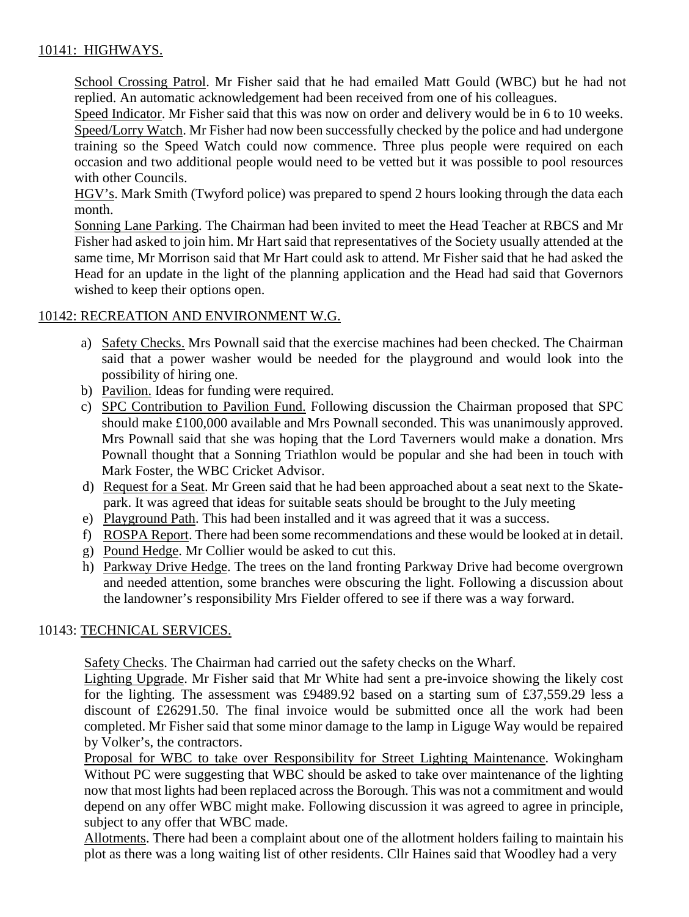# 10141: HIGHWAYS.

School Crossing Patrol. Mr Fisher said that he had emailed Matt Gould (WBC) but he had not replied. An automatic acknowledgement had been received from one of his colleagues.

Speed Indicator. Mr Fisher said that this was now on order and delivery would be in 6 to 10 weeks. Speed/Lorry Watch. Mr Fisher had now been successfully checked by the police and had undergone training so the Speed Watch could now commence. Three plus people were required on each occasion and two additional people would need to be vetted but it was possible to pool resources with other Councils.

HGV's. Mark Smith (Twyford police) was prepared to spend 2 hours looking through the data each month.

Sonning Lane Parking. The Chairman had been invited to meet the Head Teacher at RBCS and Mr Fisher had asked to join him. Mr Hart said that representatives of the Society usually attended at the same time, Mr Morrison said that Mr Hart could ask to attend. Mr Fisher said that he had asked the Head for an update in the light of the planning application and the Head had said that Governors wished to keep their options open.

# 10142: RECREATION AND ENVIRONMENT W.G.

- a) Safety Checks. Mrs Pownall said that the exercise machines had been checked. The Chairman said that a power washer would be needed for the playground and would look into the possibility of hiring one.
- b) Pavilion. Ideas for funding were required.
- c) SPC Contribution to Pavilion Fund. Following discussion the Chairman proposed that SPC should make £100,000 available and Mrs Pownall seconded. This was unanimously approved. Mrs Pownall said that she was hoping that the Lord Taverners would make a donation. Mrs Pownall thought that a Sonning Triathlon would be popular and she had been in touch with Mark Foster, the WBC Cricket Advisor.
- d) Request for a Seat. Mr Green said that he had been approached about a seat next to the Skatepark. It was agreed that ideas for suitable seats should be brought to the July meeting
- e) Playground Path. This had been installed and it was agreed that it was a success.
- f) ROSPA Report. There had been some recommendations and these would be looked at in detail.
- g) Pound Hedge. Mr Collier would be asked to cut this.
- h) Parkway Drive Hedge. The trees on the land fronting Parkway Drive had become overgrown and needed attention, some branches were obscuring the light. Following a discussion about the landowner's responsibility Mrs Fielder offered to see if there was a way forward.

# 10143: TECHNICAL SERVICES.

Safety Checks. The Chairman had carried out the safety checks on the Wharf.

Lighting Upgrade. Mr Fisher said that Mr White had sent a pre-invoice showing the likely cost for the lighting. The assessment was £9489.92 based on a starting sum of £37,559.29 less a discount of £26291.50. The final invoice would be submitted once all the work had been completed. Mr Fisher said that some minor damage to the lamp in Liguge Way would be repaired by Volker's, the contractors.

Proposal for WBC to take over Responsibility for Street Lighting Maintenance. Wokingham Without PC were suggesting that WBC should be asked to take over maintenance of the lighting now that most lights had been replaced across the Borough. This was not a commitment and would depend on any offer WBC might make. Following discussion it was agreed to agree in principle, subject to any offer that WBC made.

Allotments. There had been a complaint about one of the allotment holders failing to maintain his plot as there was a long waiting list of other residents. Cllr Haines said that Woodley had a very